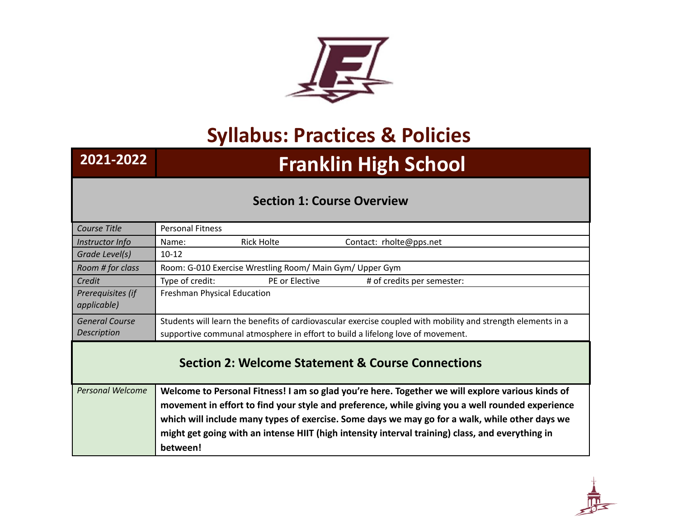

## **Syllabus: Practices & Policies**

# **2021-2022 Franklin High School**

#### **Section 1: Course Overview**

| Course Title                                      | <b>Personal Fitness</b>     |                                                          |                                                                                                              |
|---------------------------------------------------|-----------------------------|----------------------------------------------------------|--------------------------------------------------------------------------------------------------------------|
| Instructor Info                                   | Name:                       | Rick Holte                                               | Contact: rholte@pps.net                                                                                      |
| Grade Level(s)                                    | $10 - 12$                   |                                                          |                                                                                                              |
| Room # for class                                  |                             | Room: G-010 Exercise Wrestling Room/ Main Gym/ Upper Gym |                                                                                                              |
| Credit                                            | Type of credit:             | PE or Elective                                           | # of credits per semester:                                                                                   |
| Prerequisites (if<br>applicable)                  | Freshman Physical Education |                                                          |                                                                                                              |
| <b>General Course</b>                             |                             |                                                          | Students will learn the benefits of cardiovascular exercise coupled with mobility and strength elements in a |
| <b>Description</b>                                |                             |                                                          | supportive communal atmosphere in effort to build a lifelong love of movement.                               |
| Section 2: Welcome Statement & Course Connections |                             |                                                          |                                                                                                              |
| <b>Personal Welcome</b>                           |                             |                                                          | Welcome to Personal Fitness! I am so glad you're here. Together we will explore various kinds of             |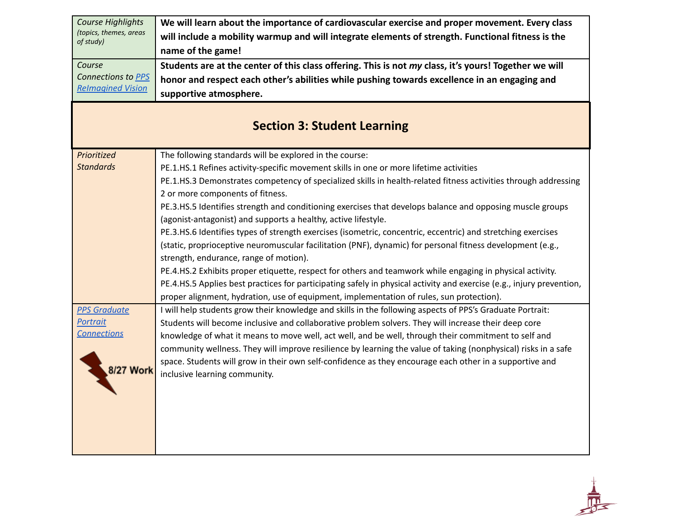| <b>Course Highlights</b> | We will learn about the importance of cardiovascular exercise and proper movement. Every class                        |
|--------------------------|-----------------------------------------------------------------------------------------------------------------------|
| (topics, themes, areas   | will include a mobility warmup and will integrate elements of strength. Functional fitness is the                     |
| of study)                | name of the game!                                                                                                     |
| Course                   | Students are at the center of this class offering. This is not my class, it's yours! Together we will                 |
| Connections to PPS       | honor and respect each other's abilities while pushing towards excellence in an engaging and                          |
| <b>Relmagined Vision</b> | supportive atmosphere.                                                                                                |
|                          |                                                                                                                       |
|                          | <b>Section 3: Student Learning</b>                                                                                    |
|                          |                                                                                                                       |
| Prioritized              | The following standards will be explored in the course:                                                               |
| <b>Standards</b>         | PE.1.HS.1 Refines activity-specific movement skills in one or more lifetime activities                                |
|                          | PE.1.HS.3 Demonstrates competency of specialized skills in health-related fitness activities through addressing       |
|                          | 2 or more components of fitness.                                                                                      |
|                          | PE.3.HS.5 Identifies strength and conditioning exercises that develops balance and opposing muscle groups             |
|                          | (agonist-antagonist) and supports a healthy, active lifestyle.                                                        |
|                          | PE.3.HS.6 Identifies types of strength exercises (isometric, concentric, eccentric) and stretching exercises          |
|                          | (static, proprioceptive neuromuscular facilitation (PNF), dynamic) for personal fitness development (e.g.,            |
|                          | strength, endurance, range of motion).                                                                                |
|                          | PE.4.HS.2 Exhibits proper etiquette, respect for others and teamwork while engaging in physical activity.             |
|                          | PE.4.HS.5 Applies best practices for participating safely in physical activity and exercise (e.g., injury prevention, |
|                          | proper alignment, hydration, use of equipment, implementation of rules, sun protection).                              |
| <b>PPS Graduate</b>      | I will help students grow their knowledge and skills in the following aspects of PPS's Graduate Portrait:             |
| Portrait                 | Students will become inclusive and collaborative problem solvers. They will increase their deep core                  |
| <b>Connections</b>       | knowledge of what it means to move well, act well, and be well, through their commitment to self and                  |
|                          | community wellness. They will improve resilience by learning the value of taking (nonphysical) risks in a safe        |
| 3/27 Work                | space. Students will grow in their own self-confidence as they encourage each other in a supportive and               |
|                          | inclusive learning community.                                                                                         |
|                          |                                                                                                                       |
|                          |                                                                                                                       |
|                          |                                                                                                                       |
|                          |                                                                                                                       |
|                          |                                                                                                                       |
|                          |                                                                                                                       |

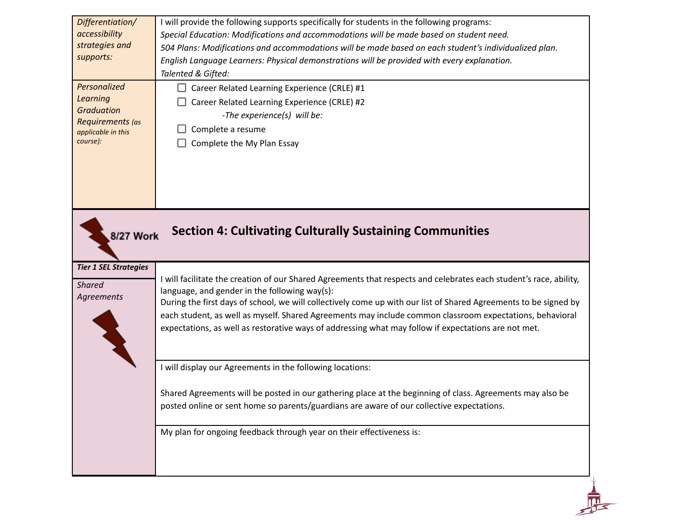| Differentiation/<br>accessibility<br>strategies and<br>supports:<br>Personalized<br><b>Learning</b><br><b>Graduation</b><br>Requirements (as<br>applicable in this<br>course): | I will provide the following supports specifically for students in the following programs:<br>Special Education: Modifications and accommodations will be made based on student need.<br>504 Plans: Modifications and accommodations will be made based on each student's individualized plan.<br>English Language Learners: Physical demonstrations will be provided with every explanation.<br>Talented & Gifted:<br>Career Related Learning Experience (CRLE) #1<br>Career Related Learning Experience (CRLE) #2<br>-The experience(s) will be:<br>Complete a resume<br>Complete the My Plan Essay |
|--------------------------------------------------------------------------------------------------------------------------------------------------------------------------------|-------------------------------------------------------------------------------------------------------------------------------------------------------------------------------------------------------------------------------------------------------------------------------------------------------------------------------------------------------------------------------------------------------------------------------------------------------------------------------------------------------------------------------------------------------------------------------------------------------|
| 8/27 Work<br><b>Tier 1 SEL Strategies</b>                                                                                                                                      | <b>Section 4: Cultivating Culturally Sustaining Communities</b>                                                                                                                                                                                                                                                                                                                                                                                                                                                                                                                                       |
| <b>Shared</b><br>Agreements                                                                                                                                                    | I will facilitate the creation of our Shared Agreements that respects and celebrates each student's race, ability,<br>language, and gender in the following way(s):<br>During the first days of school, we will collectively come up with our list of Shared Agreements to be signed by<br>each student, as well as myself. Shared Agreements may include common classroom expectations, behavioral<br>expectations, as well as restorative ways of addressing what may follow if expectations are not met.                                                                                           |
|                                                                                                                                                                                | I will display our Agreements in the following locations:                                                                                                                                                                                                                                                                                                                                                                                                                                                                                                                                             |
|                                                                                                                                                                                | Shared Agreements will be posted in our gathering place at the beginning of class. Agreements may also be<br>posted online or sent home so parents/guardians are aware of our collective expectations.                                                                                                                                                                                                                                                                                                                                                                                                |
|                                                                                                                                                                                | My plan for ongoing feedback through year on their effectiveness is:                                                                                                                                                                                                                                                                                                                                                                                                                                                                                                                                  |
|                                                                                                                                                                                |                                                                                                                                                                                                                                                                                                                                                                                                                                                                                                                                                                                                       |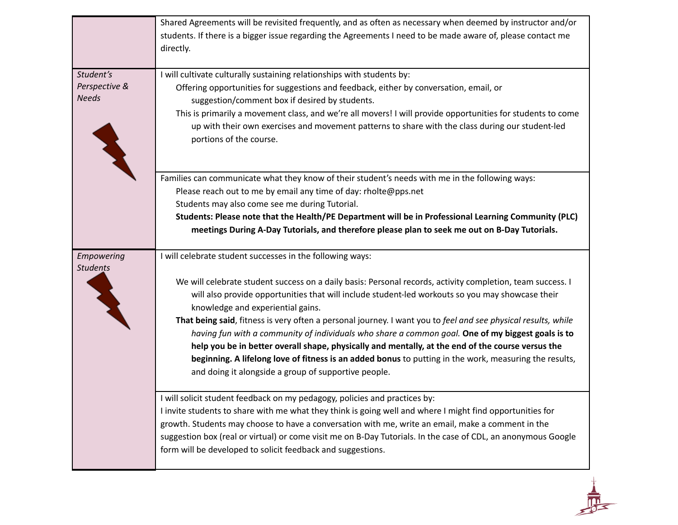|                                            | Shared Agreements will be revisited frequently, and as often as necessary when deemed by instructor and/or<br>students. If there is a bigger issue regarding the Agreements I need to be made aware of, please contact me<br>directly.                                                                                                                                                                                                                                                                                                                                                                                                                                                                                                                                                                        |
|--------------------------------------------|---------------------------------------------------------------------------------------------------------------------------------------------------------------------------------------------------------------------------------------------------------------------------------------------------------------------------------------------------------------------------------------------------------------------------------------------------------------------------------------------------------------------------------------------------------------------------------------------------------------------------------------------------------------------------------------------------------------------------------------------------------------------------------------------------------------|
| Student's<br>Perspective &<br><b>Needs</b> | I will cultivate culturally sustaining relationships with students by:<br>Offering opportunities for suggestions and feedback, either by conversation, email, or<br>suggestion/comment box if desired by students.<br>This is primarily a movement class, and we're all movers! I will provide opportunities for students to come<br>up with their own exercises and movement patterns to share with the class during our student-led<br>portions of the course.                                                                                                                                                                                                                                                                                                                                              |
|                                            | Families can communicate what they know of their student's needs with me in the following ways:<br>Please reach out to me by email any time of day: rholte@pps.net<br>Students may also come see me during Tutorial.<br>Students: Please note that the Health/PE Department will be in Professional Learning Community (PLC)<br>meetings During A-Day Tutorials, and therefore please plan to seek me out on B-Day Tutorials.                                                                                                                                                                                                                                                                                                                                                                                 |
| Empowering<br><b>Students</b>              | I will celebrate student successes in the following ways:<br>We will celebrate student success on a daily basis: Personal records, activity completion, team success. I<br>will also provide opportunities that will include student-led workouts so you may showcase their<br>knowledge and experiential gains.<br>That being said, fitness is very often a personal journey. I want you to feel and see physical results, while<br>having fun with a community of individuals who share a common goal. One of my biggest goals is to<br>help you be in better overall shape, physically and mentally, at the end of the course versus the<br>beginning. A lifelong love of fitness is an added bonus to putting in the work, measuring the results,<br>and doing it alongside a group of supportive people. |
|                                            | I will solicit student feedback on my pedagogy, policies and practices by:<br>I invite students to share with me what they think is going well and where I might find opportunities for<br>growth. Students may choose to have a conversation with me, write an email, make a comment in the<br>suggestion box (real or virtual) or come visit me on B-Day Tutorials. In the case of CDL, an anonymous Google<br>form will be developed to solicit feedback and suggestions.                                                                                                                                                                                                                                                                                                                                  |

 $\frac{1}{\sqrt{2}}$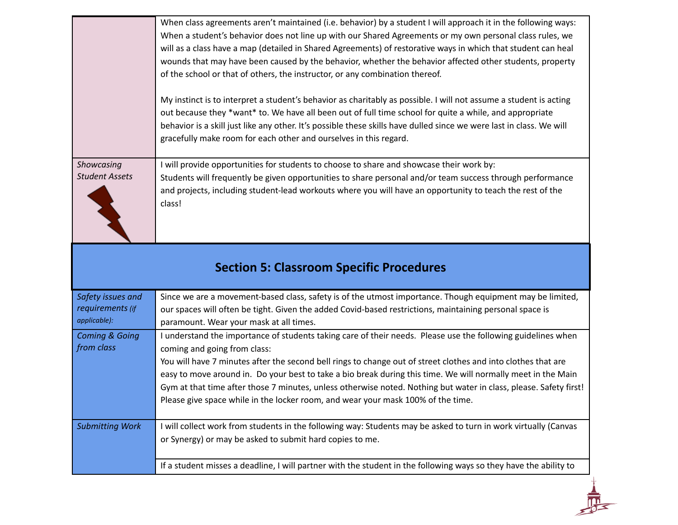|                                     | When class agreements aren't maintained (i.e. behavior) by a student I will approach it in the following ways:<br>When a student's behavior does not line up with our Shared Agreements or my own personal class rules, we<br>will as a class have a map (detailed in Shared Agreements) of restorative ways in which that student can heal<br>wounds that may have been caused by the behavior, whether the behavior affected other students, property<br>of the school or that of others, the instructor, or any combination thereof. |
|-------------------------------------|-----------------------------------------------------------------------------------------------------------------------------------------------------------------------------------------------------------------------------------------------------------------------------------------------------------------------------------------------------------------------------------------------------------------------------------------------------------------------------------------------------------------------------------------|
|                                     | My instinct is to interpret a student's behavior as charitably as possible. I will not assume a student is acting<br>out because they *want* to. We have all been out of full time school for quite a while, and appropriate<br>behavior is a skill just like any other. It's possible these skills have dulled since we were last in class. We will<br>gracefully make room for each other and ourselves in this regard.                                                                                                               |
| Showcasing<br><b>Student Assets</b> | I will provide opportunities for students to choose to share and showcase their work by:<br>Students will frequently be given opportunities to share personal and/or team success through performance<br>and projects, including student-lead workouts where you will have an opportunity to teach the rest of the<br>class!                                                                                                                                                                                                            |
|                                     |                                                                                                                                                                                                                                                                                                                                                                                                                                                                                                                                         |

### **Section 5: Classroom Specific Procedures**

| Safety issues and<br>requirements (if<br>applicable): | Since we are a movement-based class, safety is of the utmost importance. Though equipment may be limited,<br>our spaces will often be tight. Given the added Covid-based restrictions, maintaining personal space is<br>paramount. Wear your mask at all times.                                                                                                                                                                                                                                                                                                                        |
|-------------------------------------------------------|----------------------------------------------------------------------------------------------------------------------------------------------------------------------------------------------------------------------------------------------------------------------------------------------------------------------------------------------------------------------------------------------------------------------------------------------------------------------------------------------------------------------------------------------------------------------------------------|
| <b>Coming &amp; Going</b><br>from class               | I understand the importance of students taking care of their needs. Please use the following guidelines when<br>coming and going from class:<br>You will have 7 minutes after the second bell rings to change out of street clothes and into clothes that are<br>easy to move around in. Do your best to take a bio break during this time. We will normally meet in the Main<br>Gym at that time after those 7 minutes, unless otherwise noted. Nothing but water in class, please. Safety first!<br>Please give space while in the locker room, and wear your mask 100% of the time. |
| <b>Submitting Work</b>                                | I will collect work from students in the following way: Students may be asked to turn in work virtually (Canvas<br>or Synergy) or may be asked to submit hard copies to me.<br>If a student misses a deadline, I will partner with the student in the following ways so they have the ability to                                                                                                                                                                                                                                                                                       |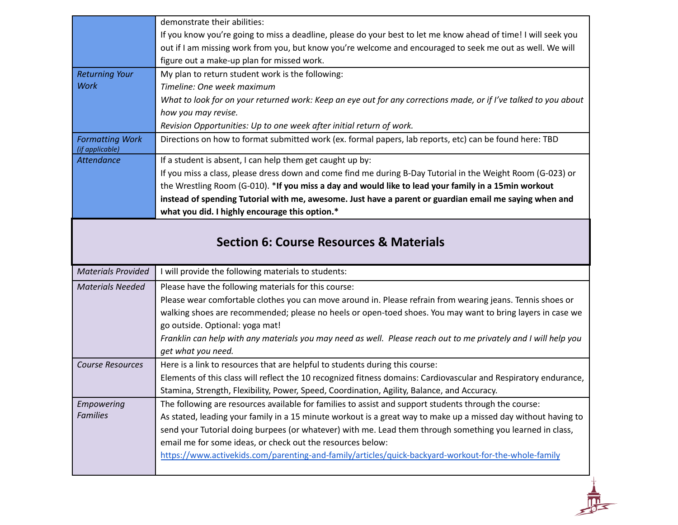|                                           | demonstrate their abilities:                                                                                                                                       |
|-------------------------------------------|--------------------------------------------------------------------------------------------------------------------------------------------------------------------|
|                                           | If you know you're going to miss a deadline, please do your best to let me know ahead of time! I will seek you                                                     |
|                                           | out if I am missing work from you, but know you're welcome and encouraged to seek me out as well. We will                                                          |
|                                           | figure out a make-up plan for missed work.                                                                                                                         |
| <b>Returning Your</b>                     | My plan to return student work is the following:                                                                                                                   |
| <b>Work</b>                               | Timeline: One week maximum                                                                                                                                         |
|                                           | What to look for on your returned work: Keep an eye out for any corrections made, or if I've talked to you about                                                   |
|                                           | how you may revise.                                                                                                                                                |
|                                           | Revision Opportunities: Up to one week after initial return of work.                                                                                               |
| <b>Formatting Work</b><br>(if applicable) | Directions on how to format submitted work (ex. formal papers, lab reports, etc) can be found here: TBD                                                            |
| <b>Attendance</b>                         | If a student is absent, I can help them get caught up by:                                                                                                          |
|                                           | If you miss a class, please dress down and come find me during B-Day Tutorial in the Weight Room (G-023) or                                                        |
|                                           | the Wrestling Room (G-010). *If you miss a day and would like to lead your family in a 15min workout                                                               |
|                                           | instead of spending Tutorial with me, awesome. Just have a parent or guardian email me saying when and                                                             |
|                                           | what you did. I highly encourage this option.*                                                                                                                     |
|                                           | <b>Section 6: Course Resources &amp; Materials</b>                                                                                                                 |
|                                           |                                                                                                                                                                    |
| <b>Materials Provided</b>                 | I will provide the following materials to students:                                                                                                                |
| <b>Materials Needed</b>                   | Please have the following materials for this course:                                                                                                               |
|                                           | Please wear comfortable clothes you can move around in. Please refrain from wearing jeans. Tennis shoes or                                                         |
|                                           | walking shoes are recommended; please no heels or open-toed shoes. You may want to bring layers in case we                                                         |
|                                           | go outside. Optional: yoga mat!                                                                                                                                    |
|                                           | Franklin can help with any materials you may need as well. Please reach out to me privately and I will help you                                                    |
|                                           | get what you need.                                                                                                                                                 |
| <b>Course Resources</b>                   | Here is a link to resources that are helpful to students during this course:                                                                                       |
|                                           | Elements of this class will reflect the 10 recognized fitness domains: Cardiovascular and Respiratory endurance,                                                   |
|                                           | Stamina, Strength, Flexibility, Power, Speed, Coordination, Agility, Balance, and Accuracy.                                                                        |
| Empowering                                | The following are resources available for families to assist and support students through the course:                                                              |
| <b>Families</b>                           | As stated, leading your family in a 15 minute workout is a great way to make up a missed day without having to                                                     |
|                                           | send your Tutorial doing burpees (or whatever) with me. Lead them through something you learned in class,                                                          |
|                                           | email me for some ideas, or check out the resources below:<br>https://www.activekids.com/parenting-and-family/articles/quick-backyard-workout-for-the-whole-family |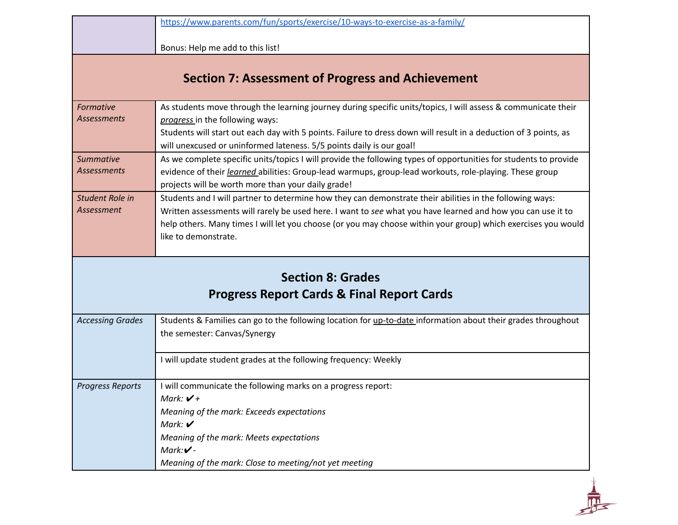|                         | https://www.parents.com/fun/sports/exercise/10-ways-to-exercise-as-a-family/                                     |
|-------------------------|------------------------------------------------------------------------------------------------------------------|
|                         |                                                                                                                  |
|                         | Bonus: Help me add to this list!                                                                                 |
|                         |                                                                                                                  |
|                         | <b>Section 7: Assessment of Progress and Achievement</b>                                                         |
|                         |                                                                                                                  |
| Formative               | As students move through the learning journey during specific units/topics, I will assess & communicate their    |
| <b>Assessments</b>      | progress in the following ways:                                                                                  |
|                         | Students will start out each day with 5 points. Failure to dress down will result in a deduction of 3 points, as |
|                         | will unexcused or uninformed lateness. 5/5 points daily is our goal!                                             |
| <b>Summative</b>        | As we complete specific units/topics I will provide the following types of opportunities for students to provide |
| <b>Assessments</b>      | evidence of their <i>learned</i> abilities: Group-lead warmups, group-lead workouts, role-playing. These group   |
|                         | projects will be worth more than your daily grade!                                                               |
| Student Role in         | Students and I will partner to determine how they can demonstrate their abilities in the following ways:         |
| Assessment              | Written assessments will rarely be used here. I want to see what you have learned and how you can use it to      |
|                         | help others. Many times I will let you choose (or you may choose within your group) which exercises you would    |
|                         | like to demonstrate.                                                                                             |
|                         |                                                                                                                  |
|                         |                                                                                                                  |
|                         | <b>Section 8: Grades</b>                                                                                         |
|                         | <b>Progress Report Cards &amp; Final Report Cards</b>                                                            |
|                         |                                                                                                                  |
| <b>Accessing Grades</b> | Students & Families can go to the following location for up-to-date information about their grades throughout    |
|                         | the semester: Canvas/Synergy                                                                                     |
|                         |                                                                                                                  |
|                         | I will update student grades at the following frequency: Weekly                                                  |
|                         |                                                                                                                  |
| <b>Progress Reports</b> | I will communicate the following marks on a progress report:                                                     |
|                         | Mark: $V +$                                                                                                      |
|                         | Meaning of the mark: Exceeds expectations                                                                        |
|                         | Mark: $\boldsymbol{\checkmark}$                                                                                  |
|                         | Meaning of the mark: Meets expectations                                                                          |
|                         | Mark: $V -$                                                                                                      |
|                         | Meaning of the mark: Close to meeting/not yet meeting                                                            |